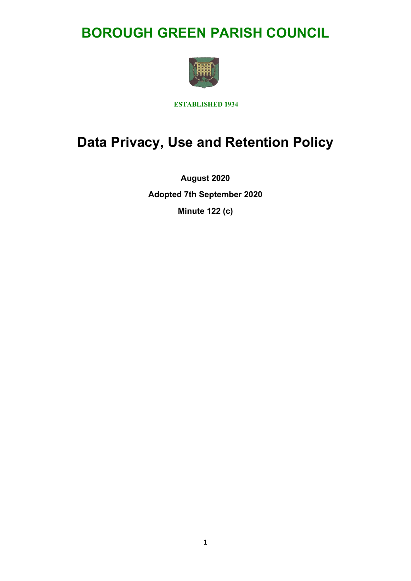## **BOROUGH GREEN PARISH COUNCIL**



**ESTABLISHED 1934**

# **Data Privacy, Use and Retention Policy**

**August 2020 Adopted 7th September 2020 Minute 122 (c)**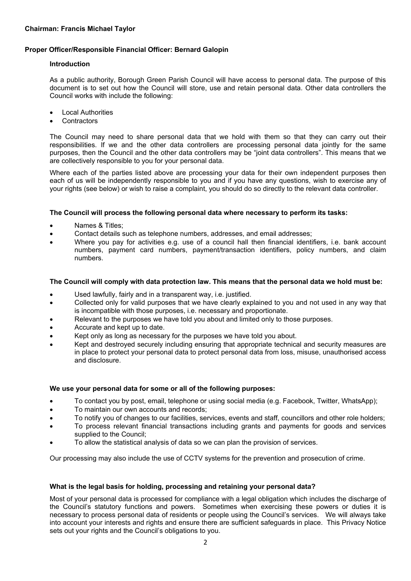## **Proper Officer/Responsible Financial Officer: Bernard Galopin**

## **Introduction**

As a public authority, Borough Green Parish Council will have access to personal data. The purpose of this document is to set out how the Council will store, use and retain personal data. Other data controllers the Council works with include the following:

- Local Authorities
- **Contractors**

The Council may need to share personal data that we hold with them so that they can carry out their responsibilities. If we and the other data controllers are processing personal data jointly for the same purposes, then the Council and the other data controllers may be "joint data controllers". This means that we are collectively responsible to you for your personal data.

Where each of the parties listed above are processing your data for their own independent purposes then each of us will be independently responsible to you and if you have any questions, wish to exercise any of your rights (see below) or wish to raise a complaint, you should do so directly to the relevant data controller.

#### **The Council will process the following personal data where necessary to perform its tasks:**

- Names & Titles;
- Contact details such as telephone numbers, addresses, and email addresses;
- Where you pay for activities e.g. use of a council hall then financial identifiers, i.e. bank account numbers, payment card numbers, payment/transaction identifiers, policy numbers, and claim numbers.

#### **The Council will comply with data protection law. This means that the personal data we hold must be:**

- Used lawfully, fairly and in a transparent way, i.e. justified.
- Collected only for valid purposes that we have clearly explained to you and not used in any way that is incompatible with those purposes, i.e. necessary and proportionate.
- Relevant to the purposes we have told you about and limited only to those purposes.
- Accurate and kept up to date.
- Kept only as long as necessary for the purposes we have told you about.
- Kept and destroyed securely including ensuring that appropriate technical and security measures are in place to protect your personal data to protect personal data from loss, misuse, unauthorised access and disclosure.

#### **We use your personal data for some or all of the following purposes:**

- To contact you by post, email, telephone or using social media (e.g. Facebook, Twitter, WhatsApp);
- To maintain our own accounts and records;
- To notify you of changes to our facilities, services, events and staff, councillors and other role holders;
- To process relevant financial transactions including grants and payments for goods and services supplied to the Council;
- To allow the statistical analysis of data so we can plan the provision of services.

Our processing may also include the use of CCTV systems for the prevention and prosecution of crime.

## **What is the legal basis for holding, processing and retaining your personal data?**

Most of your personal data is processed for compliance with a legal obligation which includes the discharge of the Council's statutory functions and powers. Sometimes when exercising these powers or duties it is necessary to process personal data of residents or people using the Council's services. We will always take into account your interests and rights and ensure there are sufficient safeguards in place. This Privacy Notice sets out your rights and the Council's obligations to you.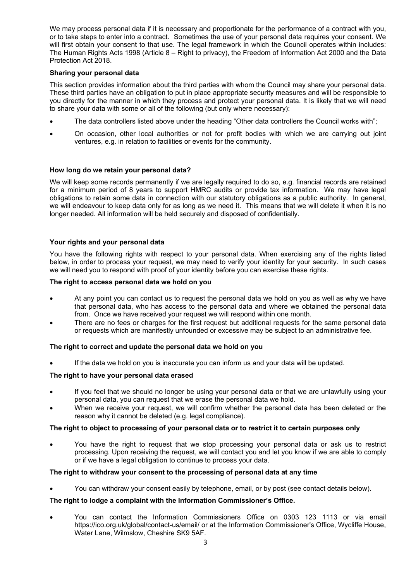We may process personal data if it is necessary and proportionate for the performance of a contract with you, or to take steps to enter into a contract. Sometimes the use of your personal data requires your consent. We will first obtain your consent to that use. The legal framework in which the Council operates within includes: The Human Rights Acts 1998 (Article 8 – Right to privacy), the Freedom of Information Act 2000 and the Data Protection Act 2018.

## **Sharing your personal data**

This section provides information about the third parties with whom the Council may share your personal data. These third parties have an obligation to put in place appropriate security measures and will be responsible to you directly for the manner in which they process and protect your personal data. It is likely that we will need to share your data with some or all of the following (but only where necessary):

- The data controllers listed above under the heading "Other data controllers the Council works with";
- On occasion, other local authorities or not for profit bodies with which we are carrying out joint ventures, e.g. in relation to facilities or events for the community.

## **How long do we retain your personal data?**

We will keep some records permanently if we are legally required to do so, e.g. financial records are retained for a minimum period of 8 years to support HMRC audits or provide tax information. We may have legal obligations to retain some data in connection with our statutory obligations as a public authority. In general, we will endeavour to keep data only for as long as we need it. This means that we will delete it when it is no longer needed. All information will be held securely and disposed of confidentially.

#### **Your rights and your personal data**

You have the following rights with respect to your personal data. When exercising any of the rights listed below, in order to process your request, we may need to verify your identity for your security. In such cases we will need you to respond with proof of your identity before you can exercise these rights.

#### **The right to access personal data we hold on you**

- At any point you can contact us to request the personal data we hold on you as well as why we have that personal data, who has access to the personal data and where we obtained the personal data from. Once we have received your request we will respond within one month.
- There are no fees or charges for the first request but additional requests for the same personal data or requests which are manifestly unfounded or excessive may be subject to an administrative fee.

#### **The right to correct and update the personal data we hold on you**

If the data we hold on you is inaccurate you can inform us and your data will be updated.

#### **The right to have your personal data erased**

- If you feel that we should no longer be using your personal data or that we are unlawfully using your personal data, you can request that we erase the personal data we hold.
- When we receive your request, we will confirm whether the personal data has been deleted or the reason why it cannot be deleted (e.g. legal compliance).

#### **The right to object to processing of your personal data or to restrict it to certain purposes only**

• You have the right to request that we stop processing your personal data or ask us to restrict processing. Upon receiving the request, we will contact you and let you know if we are able to comply or if we have a legal obligation to continue to process your data.

#### **The right to withdraw your consent to the processing of personal data at any time**

• You can withdraw your consent easily by telephone, email, or by post (see contact details below).

## **The right to lodge a complaint with the Information Commissioner's Office.**

• You can contact the Information Commissioners Office on 0303 123 1113 or via email https://ico.org.uk/global/contact-us/email/ or at the Information Commissioner's Office, Wycliffe House, Water Lane, Wilmslow, Cheshire SK9 5AF.